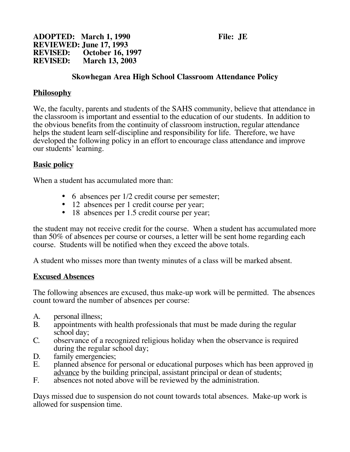**ADOPTED: March 1, 1990 File: JE REVIEWED: June 17, 1993 REVISED: October 16, 1997 March 13, 2003** 

## **Skowhegan Area High School Classroom Attendance Policy**

#### **Philosophy**

We, the faculty, parents and students of the SAHS community, believe that attendance in the classroom is important and essential to the education of our students. In addition to the obvious benefits from the continuity of classroom instruction, regular attendance helps the student learn self-discipline and responsibility for life. Therefore, we have developed the following policy in an effort to encourage class attendance and improve our students' learning.

### **Basic policy**

When a student has accumulated more than:

- 6 absences per 1/2 credit course per semester;
- 12 absences per 1 credit course per year;
- 18 absences per 1.5 credit course per year;

the student may not receive credit for the course. When a student has accumulated more than 50% of absences per course or courses, a letter will be sent home regarding each course. Students will be notified when they exceed the above totals.

A student who misses more than twenty minutes of a class will be marked absent.

#### **Excused Absences**

The following absences are excused, thus make-up work will be permitted. The absences count toward the number of absences per course:

- A. personal illness;
- B. appointments with health professionals that must be made during the regular school day;
- C. observance of a recognized religious holiday when the observance is required during the regular school day;
- D. family emergencies;<br>E. planned absence for
- planned absence for personal or educational purposes which has been approved in advance by the building principal, assistant principal or dean of students;
- F. absences not noted above will be reviewed by the administration.

Days missed due to suspension do not count towards total absences. Make-up work is allowed for suspension time.